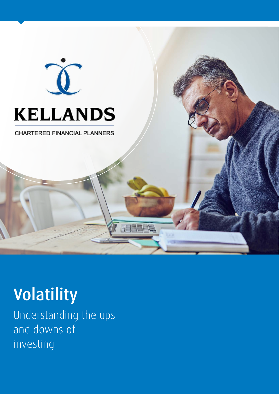

# **KELLANDS**

**CHARTERED FINANCIAL PLANNERS** 

## Volatility

Understanding the ups and downs of investing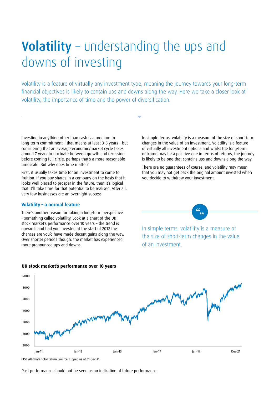### Volatility – understanding the ups and downs of investing

Volatility is a feature of virtually any investment type, meaning the journey towards your long-term financial objectives is likely to contain ups and downs along the way. Here we take a closer look at volatility, the importance of time and the power of diversification.

Investing in anything other than cash is a medium to long-term commitment – that means at least 3-5 years – but considering that an average economic/market cycle takes around 7 years to fluctuate between growth and recession before coming full circle, perhaps that's a more reasonable timescale. But why does time matter?

First, it usually takes time for an investment to come to fruition. If you buy shares in a company on the basis that it looks well placed to prosper in the future, then it's logical that it'll take time for that potential to be realised. After all, very few businesses are an overnight success.

#### **Volatility – a normal feature**

There's another reason for taking a long-term perspective – something called volatility. Look at a chart of the UK stock market's performance over 10 years – the trend is upwards and had you invested at the start of 2012 the chances are you'd have made decent gains along the way. Over shorter periods though, the market has experienced more pronounced ups and downs.

In simple terms, volatility is a measure of the size of short-term changes in the value of an investment. Volatility is a feature of virtually all investment options and whilst the long-term outcome may be a positive one in terms of returns, the journey is likely to be one that contains ups and downs along the way.

There are no guarantees of course, and volatility may mean that you may not get back the original amount invested when you decide to withdraw your investment.



In simple terms, volatility is a measure of the size of short-term changes in the value of an investment.



#### **UK stock market's performance over 10 years**

FTSE All-Share TR FTSE All-Share total return. Source: Lipper, as at 31-Dec-21

Past performance should not be seen as an indication of future performance.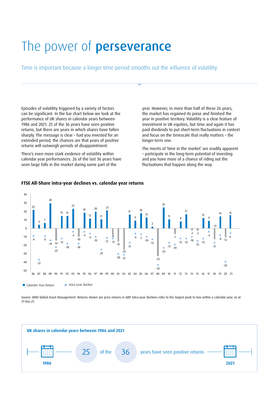### The power of **perseverance**

Time is important because a longer time period smooths out the influence of volatility.

Episodes of volatility triggered by a variety of factors can be significant. In the bar chart below we look at the performance of UK shares in calendar years between 1986 and 2021. 25 of the 36 years have seen positive returns, but there are years in which shares have fallen sharply. The message is clear – had you invested for an extended period, the chances are that years of positive returns will outweigh periods of disappointment.

There's even more stark evidence of volatility within calendar year performances. 26 of the last 36 years have seen large falls in the market during some part of the

year. However, in more than half of these 26 years, the market has regained its poise and finished the year in positive territory. Volatility is a clear feature of investment in UK equities, but time and again it has paid dividends to put short-term fluctuations in context and focus on the timescale that really matters – the longer-term one.

The merits of 'time in the market' are readily apparent – participate in the long-term potential of investing and you have more of a chance of riding out the fluctuations that happen along the way.



#### **FTSE All-Share intra-year declines vs. calendar year returns**

Source: BMO Global Asset Management. Returns shown are price returns in GBP. Intra-year declines refer to the largest peak to low within a calendar year, as at 31-Dec-21.

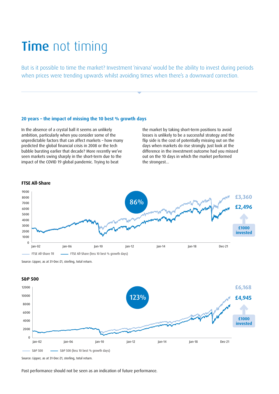### **Time** not timing

But is it possible to time the market? Investment 'nirvana' would be the ability to invest during periods when prices were trending upwards whilst avoiding times when there's a downward correction.

#### **20 years – the impact of missing the 10 best % growth days**

In the absence of a crystal ball it seems an unlikely ambition, particularly when you consider some of the unpredictable factors that can affect markets – how many predicted the global financial crisis in 2008 or the tech bubble bursting earlier that decade? More recently we've seen markets swing sharply in the short-term due to the impact of the COVID 19 global pandemic. Trying to beat

the market by taking short-term positions to avoid losses is unlikely to be a successful strategy and the flip side is the cost of potentially missing out on the days when markets do rise strongly. Just look at the difference in the investment outcome had you missed out on the 10 days in which the market performed the strongest…



#### **FTSE All-Share**

Source: Lipper, as at 31-Dec-21, sterling, total return.



Source: Lipper, as at 31-Dec-21, sterling, total return.

Past performance should not be seen as an indication of future performance.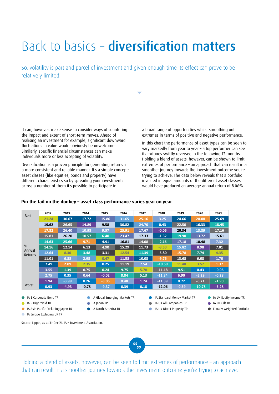### Back to basics – diversification matters

So, volatility is part and parcel of investment and given enough time its effect can prove to be relatively limited.

It can, however, make sense to consider ways of countering the impact and extent of short-term moves. Ahead of realising an investment for example, significant downward fluctuations in value would obviously be unwelcome. Similarly, specific financial circumstances can make individuals more or less accepting of volatility.

Diversification is a proven principle for generating returns in a more consistent and reliable manner. It's a simple concept: asset classes (like equities, bonds and property) have different characteristics so by spreading your investments across a number of them it's possible to participate in

a broad range of opportunities whilst smoothing out extremes in terms of positive and negative performance.

In this chart the performance of asset types can be seen to vary markedly from year to year – a top performer can see its fortunes swiftly reversed in the following 12 months. Holding a blend of assets, however, can be shown to limit extremes of performance – an approach that can result in a smoother journey towards the investment outcome you're trying to achieve. The data below reveals that a portfolio invested in equal amounts of the different asset classes would have produced an average annual return of 8.06%.

| <b>Best</b>                        | 2012  | 2013    | 2014    | 2015    | 2016  | 2017  | 2018     | 2019    | 2020     | 2021    |
|------------------------------------|-------|---------|---------|---------|-------|-------|----------|---------|----------|---------|
|                                    | 21.24 | 30.67   | 17.72   | 15.86   | 31.65 | 25.16 | 3.25     | 24.66   | 20.08    | 25.69   |
| $\frac{0}{0}$<br>Annual<br>Returns | 19.62 | 26.65   | 14.89   | 9.58    | 30.82 | 24.70 | 0.43     | 22.50   | 16.33    | 18.45   |
|                                    | 17.32 | 26.40   | 10.98   | 9.57    | 25.91 | 17.67 | $-0.06$  | 20.34   | 13.89    | 17.16   |
|                                    | 15.81 | 26.20   | 10.57   | 6.40    | 23.47 | 17.33 | $-1.32$  | 19.90   | 13.72    | 15.61   |
|                                    | 14.63 | 25.66   | 9.71    | 4.91    | 16.81 | 14.08 | $-2.16$  | 17.18   | 10.48    | 7.32    |
|                                    | 14.16 | 12.14   | 6.13    | 4.90    | 15.29 | 11.73 | $-3.50$  | 15.82   | 8.98     | 7.01    |
|                                    | 12.64 | 8.30    | 3.48    | 3.31    | 12.54 | 11.39 | $-5.80$  | 15.78   | 7.74     | 4.35    |
|                                    | 11.01 | 6.88    | 2.95    | 0.47    | 11.58 | 10.08 | $-9.76$  | 13.68   | 6.08     | 1.70    |
|                                    | 7.49  | 2.09    | 2.35    | 0.25    | 11.19 | 7.54  | $-10.50$ | 11.48   | 3.57     | 1.37    |
|                                    | 3.55  | 1.39    | 0.75    | 0.24    | 9.75  | 5.78  | $-11.18$ | 9.51    | 0.43     | $-0.05$ |
|                                    | 2.75  | 0.35    | 0.64    | $-0.02$ | 8.84  | 5.13  | $-11.34$ | 6.90    | $-5.29$  | $-0.28$ |
|                                    | 1.94  | $-3.99$ | 0.26    | $-3.06$ | 0.48  | 1.74  | $-11.39$ | 0.72    | $-6.21$  | $-1.90$ |
| Worst                              | 0.93  | $-4.93$ | $-0.78$ | $-9.37$ | 0.39  | 0.18  | $-12.06$ | $-0.59$ | $-10.78$ | $-5.28$ |

#### **Pin the tail on the donkey – asset class performance varies year on year**

- IA £ Corporate Bond TR
- **I**A £ High Yield TR
- IA Asia Pacific Excluding Japan TR
- **IA Europe Excluding UK TR**

Source: Lipper, as at 31-Dec-21. IA = Investment Association.

IA Global Emerging Markets TR IA Japan TR

IA North America TR

- IA UK All Companies TR
- IA Standard Money Market TR **IA UK Direct Property TR**
- **IA UK Equity Income TR**
- IA UK Gilt TR
- Equally Weighted Portfolio

 $\overline{\mathcal{L}_{\bullet, \bullet}}$ 

Holding a blend of assets, however, can be seen to limit extremes of performance - an approach that can result in a smoother journey towards the investment outcome you're trying to achieve.